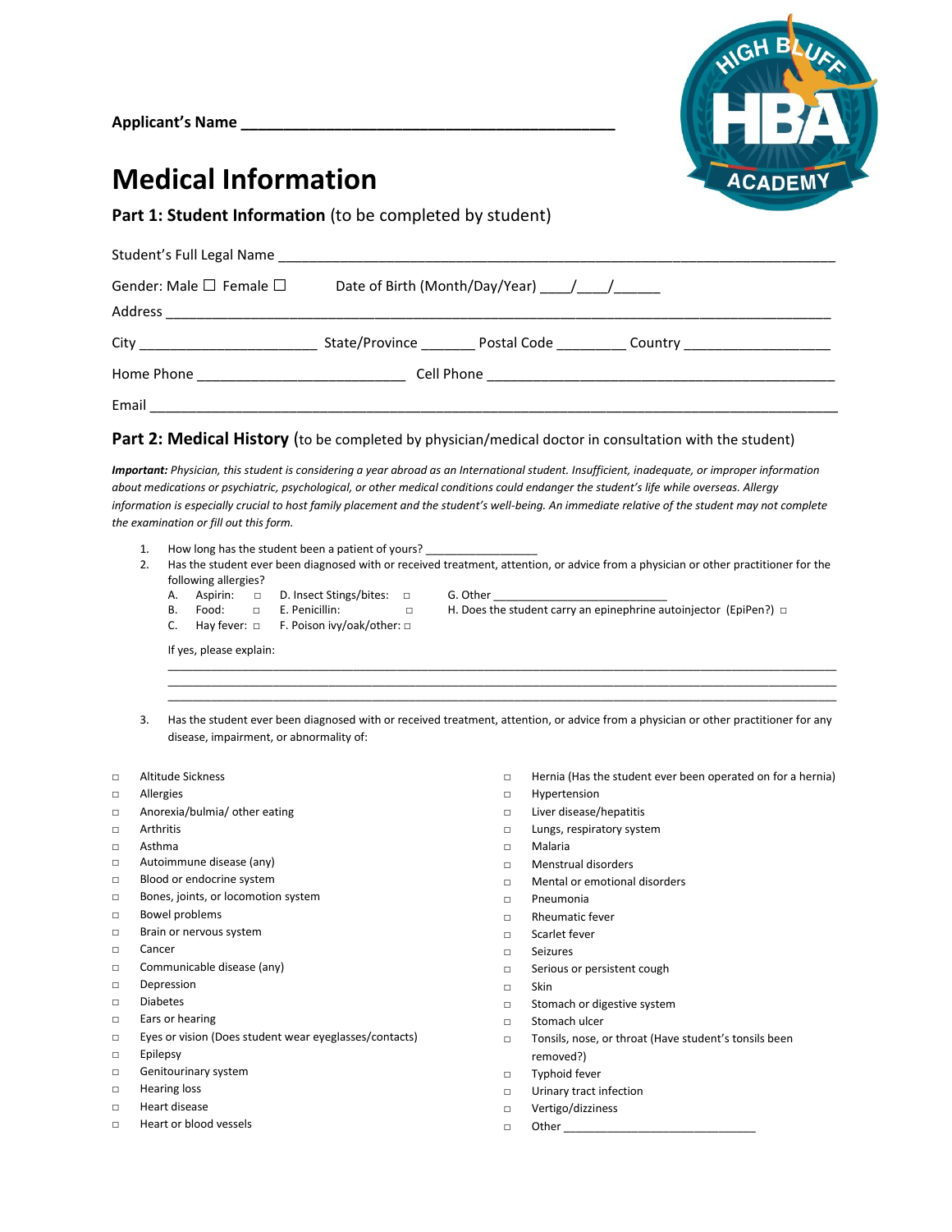**Applicant's Name \_\_\_\_\_\_\_\_\_\_\_\_\_\_\_\_\_\_\_\_\_\_\_\_\_\_\_\_\_\_\_\_\_\_\_\_\_\_\_\_\_\_\_\_**



## **Medical Information**

**Part 1: Student Information** (to be completed by student)

| Gender: Male $\square$ Female $\square$ |  |  |
|-----------------------------------------|--|--|
|                                         |  |  |
|                                         |  |  |
|                                         |  |  |
|                                         |  |  |

### **Part 2: Medical History** (to be completed by physician/medical doctor in consultation with the student)

*Important: Physician, this student is considering a year abroad as an International student. Insufficient, inadequate, or improper information about medications or psychiatric, psychological, or other medical conditions could endanger the student's life while overseas. Allergy*  information is especially crucial to host family placement and the student's well-being. An immediate relative of the student may not complete *the examination or fill out this form.*

- 1. How long has the student been a patient of yours?
- 2. Has the student ever been diagnosed with or received treatment, attention, or advice from a physician or other practitioner for the following allergies?
	- A. Aspirin: □ D. Insect Stings/bites: □ G. Other<br>B. Food: □ E. Penicillin: □ H. Does t
		-
	- C. Hay fever: □ F. Poison ivy/oak/other: □
- □ H. Does the student carry an epinephrine autoinjector (EpiPen?) □

If yes, please explain:

3. Has the student ever been diagnosed with or received treatment, attention, or advice from a physician or other practitioner for any disease, impairment, or abnormality of:

\_\_\_\_\_\_\_\_\_\_\_\_\_\_\_\_\_\_\_\_\_\_\_\_\_\_\_\_\_\_\_\_\_\_\_\_\_\_\_\_\_\_\_\_\_\_\_\_\_\_\_\_\_\_\_\_\_\_\_\_\_\_\_\_\_\_\_\_\_\_\_\_\_\_\_\_\_\_\_\_\_\_\_\_\_\_\_\_\_\_\_\_\_\_\_\_\_\_\_\_\_\_\_\_\_\_\_\_ \_\_\_\_\_\_\_\_\_\_\_\_\_\_\_\_\_\_\_\_\_\_\_\_\_\_\_\_\_\_\_\_\_\_\_\_\_\_\_\_\_\_\_\_\_\_\_\_\_\_\_\_\_\_\_\_\_\_\_\_\_\_\_\_\_\_\_\_\_\_\_\_\_\_\_\_\_\_\_\_\_\_\_\_\_\_\_\_\_\_\_\_\_\_\_\_\_\_\_\_\_\_\_\_\_\_\_\_ \_\_\_\_\_\_\_\_\_\_\_\_\_\_\_\_\_\_\_\_\_\_\_\_\_\_\_\_\_\_\_\_\_\_\_\_\_\_\_\_\_\_\_\_\_\_\_\_\_\_\_\_\_\_\_\_\_\_\_\_\_\_\_\_\_\_\_\_\_\_\_\_\_\_\_\_\_\_\_\_\_\_\_\_\_\_\_\_\_\_\_\_\_\_\_\_\_\_\_\_\_\_\_\_\_\_\_\_

- □ Altitude Sickness
- □ Allergies
- □ Anorexia/bulmia/ other eating
- □ Arthritis
- □ Asthma
- □ Autoimmune disease (any)
- □ Blood or endocrine system
- □ Bones, joints, or locomotion system
- □ Bowel problems
- □ Brain or nervous system
- □ Cancer
- □ Communicable disease (any)
- □ Depression
- □ Diabetes
- □ Ears or hearing
- □ Eyes or vision (Does student wear eyeglasses/contacts)
- □ Epilepsy
- □ Genitourinary system
- □ Hearing loss
- □ Heart disease
- □ Heart or blood vessels
- □ Hernia (Has the student ever been operated on for a hernia)
- □ Hypertension
- □ Liver disease/hepatitis
- □ Lungs, respiratory system
- □ Malaria
- □ Menstrual disorders
- □ Mental or emotional disorders
- □ Pneumonia
- □ Rheumatic fever
- □ Scarlet fever
- □ Seizures
- □ Serious or persistent cough
- □ Skin
- □ Stomach or digestive system
- □ Stomach ulcer
- □ Tonsils, nose, or throat (Have student's tonsils been removed?)
- □ Typhoid fever
- □ Urinary tract infection
- □ Vertigo/dizziness
- $\Box$  Other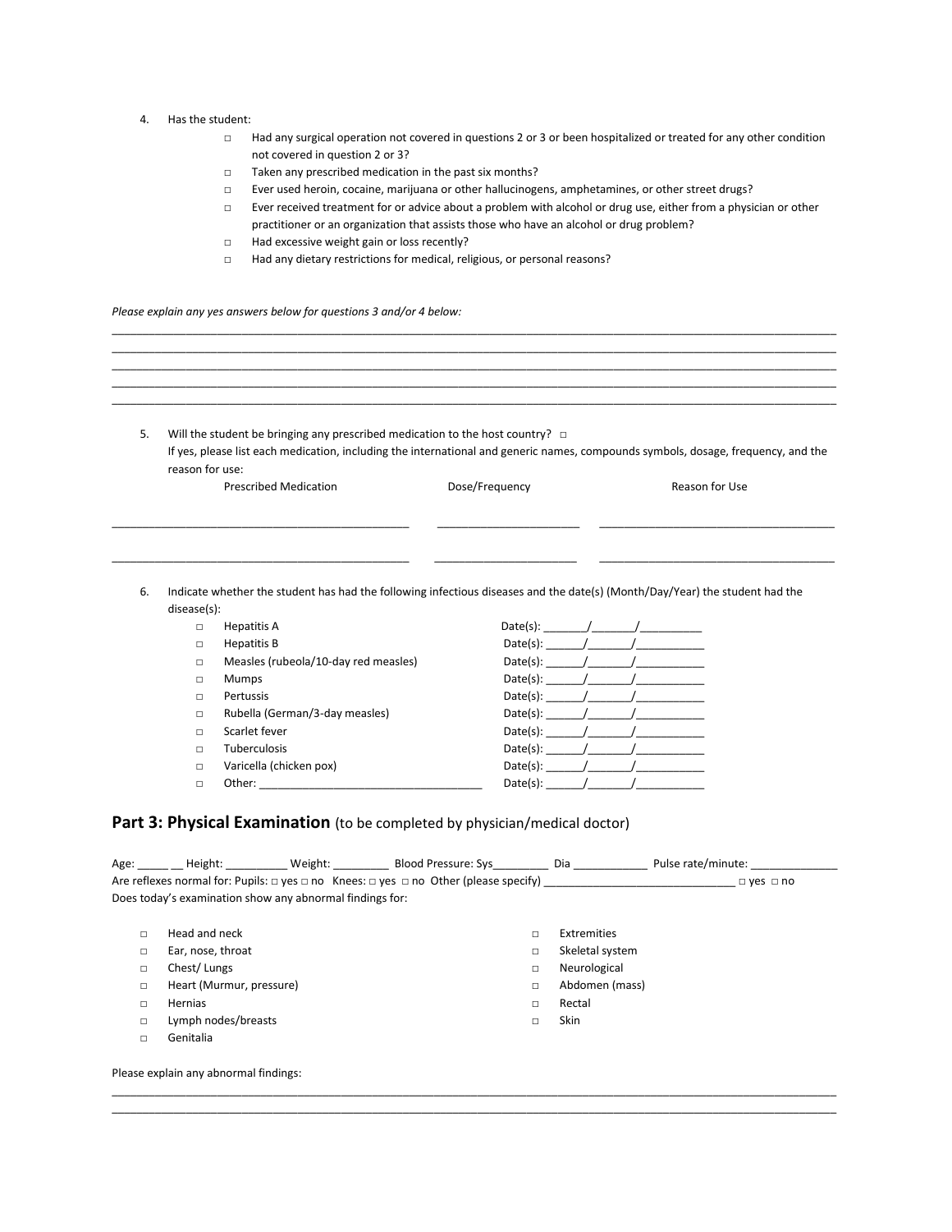#### 4. Has the student:

- □ Had any surgical operation not covered in questions 2 or 3 or been hospitalized or treated for any other condition not covered in question 2 or 3?
- □ Taken any prescribed medication in the past six months?
- □ Ever used heroin, cocaine, marijuana or other hallucinogens, amphetamines, or other street drugs?
- □ Ever received treatment for or advice about a problem with alcohol or drug use, either from a physician or other practitioner or an organization that assists those who have an alcohol or drug problem?
- □ Had excessive weight gain or loss recently?
- □ Had any dietary restrictions for medical, religious, or personal reasons?

*Please explain any yes answers below for questions 3 and/or 4 below:*

| Will the student be bringing any prescribed medication to the host country? $\Box$ |                |                                                                                                                                   |  |
|------------------------------------------------------------------------------------|----------------|-----------------------------------------------------------------------------------------------------------------------------------|--|
|                                                                                    |                | If yes, please list each medication, including the international and generic names, compounds symbols, dosage, frequency, and the |  |
| reason for use:                                                                    |                |                                                                                                                                   |  |
| <b>Prescribed Medication</b>                                                       | Dose/Frequency | Reason for Use                                                                                                                    |  |
|                                                                                    |                |                                                                                                                                   |  |

\_\_\_\_\_\_\_\_\_\_\_\_\_\_\_\_\_\_\_\_\_\_\_\_\_\_\_\_\_\_\_\_\_\_\_\_\_\_\_\_\_\_\_\_\_\_\_\_\_\_\_\_\_\_\_\_\_\_\_\_\_\_\_\_\_\_\_\_\_\_\_\_\_\_\_\_\_\_\_\_\_\_\_\_\_\_\_\_\_\_\_\_\_\_\_\_\_\_\_\_\_\_\_\_\_\_\_\_\_\_\_\_\_\_\_\_\_ \_\_\_\_\_\_\_\_\_\_\_\_\_\_\_\_\_\_\_\_\_\_\_\_\_\_\_\_\_\_\_\_\_\_\_\_\_\_\_\_\_\_\_\_\_\_\_\_\_\_\_\_\_\_\_\_\_\_\_\_\_\_\_\_\_\_\_\_\_\_\_\_\_\_\_\_\_\_\_\_\_\_\_\_\_\_\_\_\_\_\_\_\_\_\_\_\_\_\_\_\_\_\_\_\_\_\_\_\_\_\_\_\_\_\_\_\_ \_\_\_\_\_\_\_\_\_\_\_\_\_\_\_\_\_\_\_\_\_\_\_\_\_\_\_\_\_\_\_\_\_\_\_\_\_\_\_\_\_\_\_\_\_\_\_\_\_\_\_\_\_\_\_\_\_\_\_\_\_\_\_\_\_\_\_\_\_\_\_\_\_\_\_\_\_\_\_\_\_\_\_\_\_\_\_\_\_\_\_\_\_\_\_\_\_\_\_\_\_\_\_\_\_\_\_\_\_\_\_\_\_\_\_\_\_ \_\_\_\_\_\_\_\_\_\_\_\_\_\_\_\_\_\_\_\_\_\_\_\_\_\_\_\_\_\_\_\_\_\_\_\_\_\_\_\_\_\_\_\_\_\_\_\_\_\_\_\_\_\_\_\_\_\_\_\_\_\_\_\_\_\_\_\_\_\_\_\_\_\_\_\_\_\_\_\_\_\_\_\_\_\_\_\_\_\_\_\_\_\_\_\_\_\_\_\_\_\_\_\_\_\_\_\_\_\_\_\_\_\_\_\_\_

6. Indicate whether the student has had the following infectious diseases and the date(s) (Month/Day/Year) the student had the disease(s):

\_\_\_\_\_\_\_\_\_\_\_\_\_\_\_\_\_\_\_\_\_\_\_\_\_\_\_\_\_\_\_\_\_\_\_\_\_\_\_\_\_\_\_\_\_\_\_\_ \_\_\_\_\_\_\_\_\_\_\_\_\_\_\_\_\_\_\_\_\_\_\_ \_\_\_\_\_\_\_\_\_\_\_\_\_\_\_\_\_\_\_\_\_\_\_\_\_\_\_\_\_\_\_\_\_\_\_\_\_\_

| $\Box$ | Hepatitis A                          | Date(s): |
|--------|--------------------------------------|----------|
| $\Box$ | Hepatitis B                          | Date(s): |
| $\Box$ | Measles (rubeola/10-day red measles) | Date(s): |
| $\Box$ | <b>Mumps</b>                         | Date(s): |
| $\Box$ | Pertussis                            | Date(s): |
| $\Box$ | Rubella (German/3-day measles)       | Date(s): |
| $\Box$ | Scarlet fever                        | Date(s): |
| П      | <b>Tuberculosis</b>                  | Date(s): |
| $\Box$ | Varicella (chicken pox)              | Date(s): |
| П      | Other:                               | Date(s): |
|        |                                      |          |

#### Part 3: Physical Examination (to be completed by physician/medical doctor)

| Age:   | Height:                                                  | Weight: Blood Pressure: Sys<br>Are reflexes normal for: Pupils: $\Box$ yes $\Box$ no Knees: $\Box$ yes $\Box$ no Other (please specify) |   | Dia             | Pulse rate/minute:<br>$\Box$ yes $\Box$ no |  |
|--------|----------------------------------------------------------|-----------------------------------------------------------------------------------------------------------------------------------------|---|-----------------|--------------------------------------------|--|
|        | Does today's examination show any abnormal findings for: |                                                                                                                                         |   |                 |                                            |  |
|        |                                                          |                                                                                                                                         |   |                 |                                            |  |
| □      | Head and neck                                            |                                                                                                                                         | П | Extremities     |                                            |  |
| □      | Ear, nose, throat                                        |                                                                                                                                         | □ | Skeletal system |                                            |  |
| □      | Chest/Lungs                                              |                                                                                                                                         | п | Neurological    |                                            |  |
| □      | Heart (Murmur, pressure)                                 |                                                                                                                                         | □ | Abdomen (mass)  |                                            |  |
| □      | Hernias                                                  |                                                                                                                                         | □ | Rectal          |                                            |  |
| □      | Lymph nodes/breasts                                      |                                                                                                                                         | □ | <b>Skin</b>     |                                            |  |
| $\Box$ | Genitalia                                                |                                                                                                                                         |   |                 |                                            |  |
|        |                                                          |                                                                                                                                         |   |                 |                                            |  |
|        | Please explain any abnormal findings:                    |                                                                                                                                         |   |                 |                                            |  |

\_\_\_\_\_\_\_\_\_\_\_\_\_\_\_\_\_\_\_\_\_\_\_\_\_\_\_\_\_\_\_\_\_\_\_\_\_\_\_\_\_\_\_\_\_\_\_\_\_\_\_\_\_\_\_\_\_\_\_\_\_\_\_\_\_\_\_\_\_\_\_\_\_\_\_\_\_\_\_\_\_\_\_\_\_\_\_\_\_\_\_\_\_\_\_\_\_\_\_\_\_\_\_\_\_\_\_\_\_\_\_\_\_\_\_\_\_ \_\_\_\_\_\_\_\_\_\_\_\_\_\_\_\_\_\_\_\_\_\_\_\_\_\_\_\_\_\_\_\_\_\_\_\_\_\_\_\_\_\_\_\_\_\_\_\_\_\_\_\_\_\_\_\_\_\_\_\_\_\_\_\_\_\_\_\_\_\_\_\_\_\_\_\_\_\_\_\_\_\_\_\_\_\_\_\_\_\_\_\_\_\_\_\_\_\_\_\_\_\_\_\_\_\_\_\_\_\_\_\_\_\_\_\_\_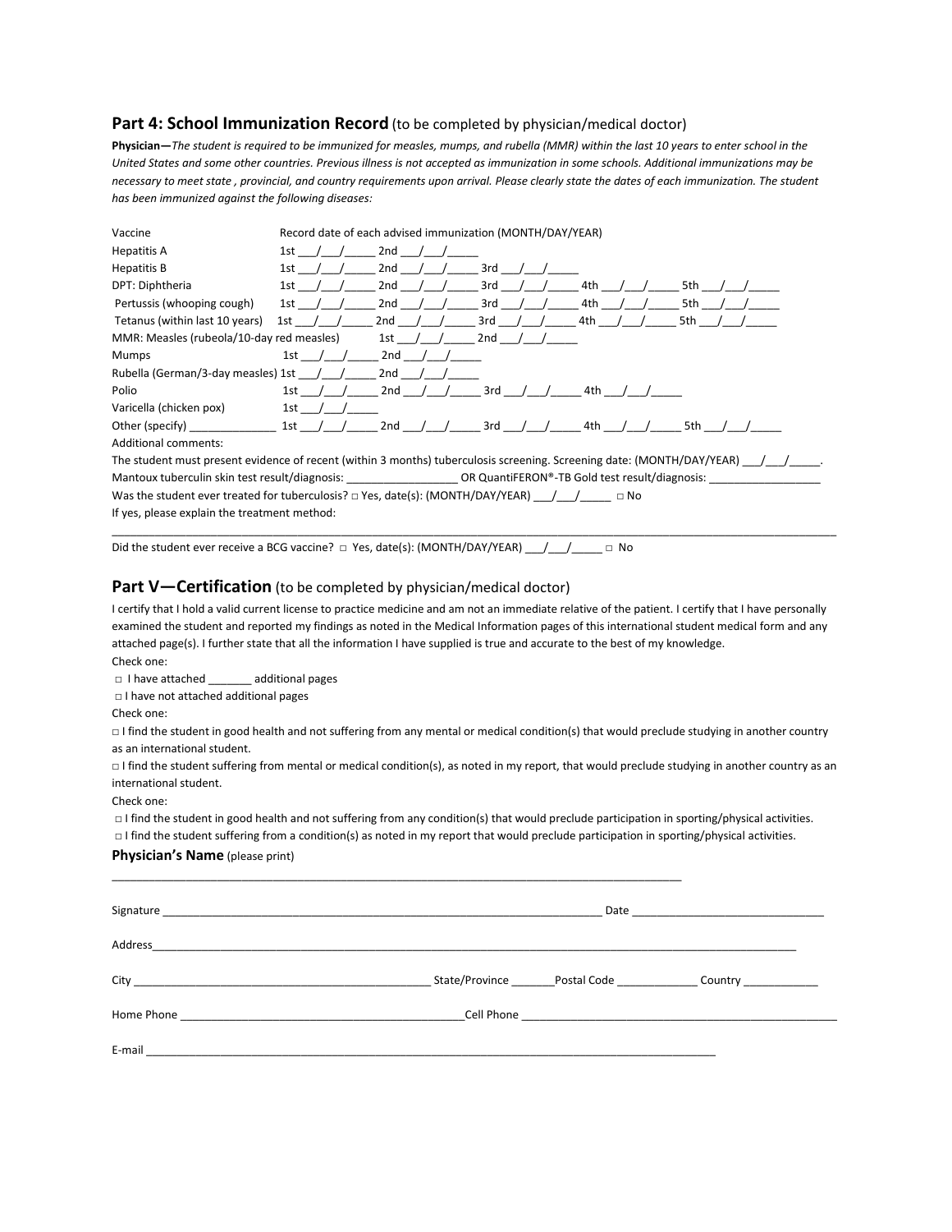#### Part 4: School Immunization Record (to be completed by physician/medical doctor)

**Physician—***The student is required to be immunized for measles, mumps, and rubella (MMR) within the last 10 years to enter school in the United States and some other countries. Previous illness is not accepted as immunization in some schools. Additional immunizations may be necessary to meet state , provincial, and country requirements upon arrival. Please clearly state the dates of each immunization. The student has been immunized against the following diseases:*

| Vaccine                                                                                                                |      | Record date of each advised immunization (MONTH/DAY/YEAR) |     |     |     |
|------------------------------------------------------------------------------------------------------------------------|------|-----------------------------------------------------------|-----|-----|-----|
| Hepatitis A                                                                                                            | 1st  | 2nd                                                       |     |     |     |
| Hepatitis B                                                                                                            | 1st  | 2nd                                                       | 3rd |     |     |
| DPT: Diphtheria                                                                                                        | 1st  | 2nd                                                       | 3rd | 4th | 5th |
| Pertussis (whooping cough)                                                                                             | 1st  | 2nd                                                       | 3rd | 4th | 5th |
| Tetanus (within last 10 years)                                                                                         | 1st  | 2nd                                                       | 3rd | 4th | 5th |
| MMR: Measles (rubeola/10-day red measles)                                                                              |      | 1st -                                                     | 2nd |     |     |
| <b>Mumps</b>                                                                                                           | 1st  | 2nd                                                       |     |     |     |
| Rubella (German/3-day measles) 1st                                                                                     |      | 2nd                                                       |     |     |     |
| Polio                                                                                                                  | 1st. | 2nd                                                       | 3rd | 4th |     |
| Varicella (chicken pox)                                                                                                | 1st  |                                                           |     |     |     |
| Other (specify)                                                                                                        | 1st  | 2nd                                                       | 3rd | 4th | 5th |
| <b>Additional comments:</b>                                                                                            |      |                                                           |     |     |     |
| The student must present evidence of recent (within 3 months) tuberculosis screening. Screening date: (MONTH/DAY/YEAR) |      |                                                           |     |     |     |

Mantoux tuberculin skin test result/diagnosis: \_\_\_\_\_\_\_\_\_\_\_\_\_\_\_\_\_\_\_\_OR QuantiFERON®-TB Gold test result/diagnosis: \_ Was the student ever treated for tuberculosis? □ Yes, date(s): (MONTH/DAY/YEAR) \_\_\_/\_\_\_/\_\_\_\_\_ □ No

If yes, please explain the treatment method:

Did the student ever receive a BCG vaccine? □ Yes, date(s): (MONTH/DAY/YEAR) \_\_/\_\_/\_\_\_\_\_ □ No

#### **Part V—Certification** (to be completed by physician/medical doctor)

I certify that I hold a valid current license to practice medicine and am not an immediate relative of the patient. I certify that I have personally examined the student and reported my findings as noted in the Medical Information pages of this international student medical form and any attached page(s). I further state that all the information I have supplied is true and accurate to the best of my knowledge. Check one:

\_\_\_\_\_\_\_\_\_\_\_\_\_\_\_\_\_\_\_\_\_\_\_\_\_\_\_\_\_\_\_\_\_\_\_\_\_\_\_\_\_\_\_\_\_\_\_\_\_\_\_\_\_\_\_\_\_\_\_\_\_\_\_\_\_\_\_\_\_\_\_\_\_\_\_\_\_\_\_\_\_\_\_\_\_\_\_\_\_\_\_\_\_\_\_\_\_\_\_\_\_\_\_\_\_\_\_\_\_\_\_\_\_\_\_\_\_

□ I have attached \_\_\_\_\_\_\_ additional pages

□ I have not attached additional pages

Check one:

□ I find the student in good health and not suffering from any mental or medical condition(s) that would preclude studying in another country as an international student.

□ I find the student suffering from mental or medical condition(s), as noted in my report, that would preclude studying in another country as an international student.

Check one:

□ I find the student in good health and not suffering from any condition(s) that would preclude participation in sporting/physical activities.

□ I find the student suffering from a condition(s) as noted in my report that would preclude participation in sporting/physical activities.

\_\_\_\_\_\_\_\_\_\_\_\_\_\_\_\_\_\_\_\_\_\_\_\_\_\_\_\_\_\_\_\_\_\_\_\_\_\_\_\_\_\_\_\_\_\_\_\_\_\_\_\_\_\_\_\_\_\_\_\_\_\_\_\_\_\_\_\_\_\_\_\_\_\_\_\_\_\_\_\_\_\_\_\_\_\_\_\_\_\_\_\_

#### **Physician's Name** (please print)

| Address | <u> 2000 - Januar Alexander (h. 1888).</u><br>1900 - Januar Barnett, fransk politik amerikansk politik (h. 1889). |                                                                                  |  |
|---------|-------------------------------------------------------------------------------------------------------------------|----------------------------------------------------------------------------------|--|
|         |                                                                                                                   | State/Province __________Postal Code __________________Country _________________ |  |
|         |                                                                                                                   |                                                                                  |  |
|         |                                                                                                                   |                                                                                  |  |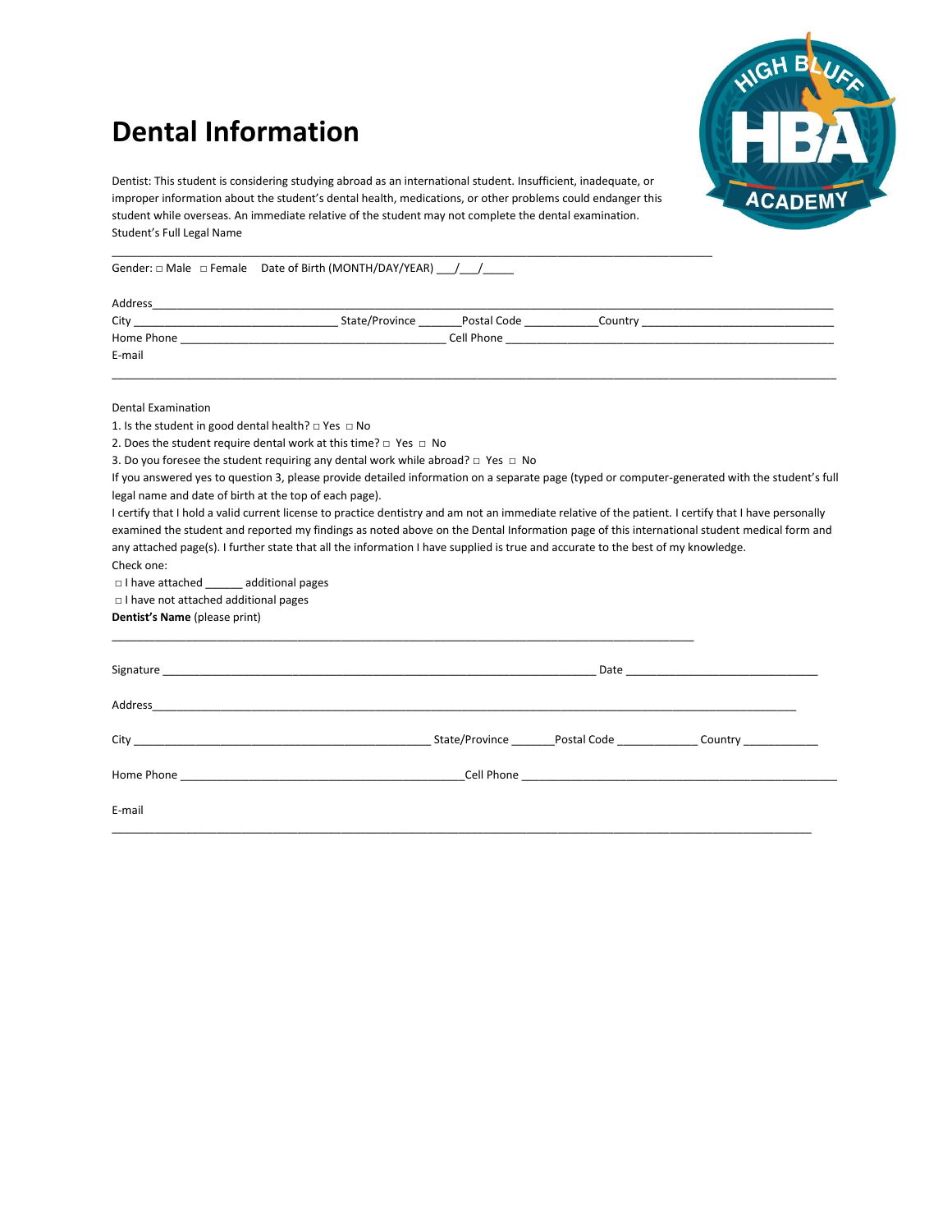# **Dental Information**



Dentist: This student is considering studying abroad as an international student. Insufficient, inadequate, or improper information about the student's dental health, medications, or other problems could endanger this student while overseas. An immediate relative of the student may not complete the dental examination. Student's Full Legal Name

 $\overline{a}$  , and the set of the set of the set of the set of the set of the set of the set of the set of the set of the set of the set of the set of the set of the set of the set of the set of the set of the set of the set

Gender:  $\Box$  Male  $\Box$  Female Date of Birth (MONTH/DAY/YEAR) / /

| Address    |                |             |         |
|------------|----------------|-------------|---------|
| City       | State/Province | Postal Code | Country |
| Home Phone |                | Cell Phone  |         |
| E-mail     |                |             |         |
|            |                |             |         |

Dental Examination

1. Is the student in good dental health?  $\Box$  Yes  $\Box$  No

2. Does the student require dental work at this time?  $\Box$  Yes  $\Box$  No

3. Do you foresee the student requiring any dental work while abroad?  $\Box$  Yes  $\Box$  No

If you answered yes to question 3, please provide detailed information on a separate page (typed or computer-generated with the student's full legal name and date of birth at the top of each page).

I certify that I hold a valid current license to practice dentistry and am not an immediate relative of the patient. I certify that I have personally examined the student and reported my findings as noted above on the Dental Information page of this international student medical form and any attached page(s). I further state that all the information I have supplied is true and accurate to the best of my knowledge. Check one:

□ I have attached \_\_\_\_\_\_ additional pages

□ I have not attached additional pages

**Dentist's Name** (please print)

|        |  | _State/Province __________Postal Code __________________Country _______________ |
|--------|--|---------------------------------------------------------------------------------|
|        |  |                                                                                 |
| E-mail |  |                                                                                 |
|        |  |                                                                                 |